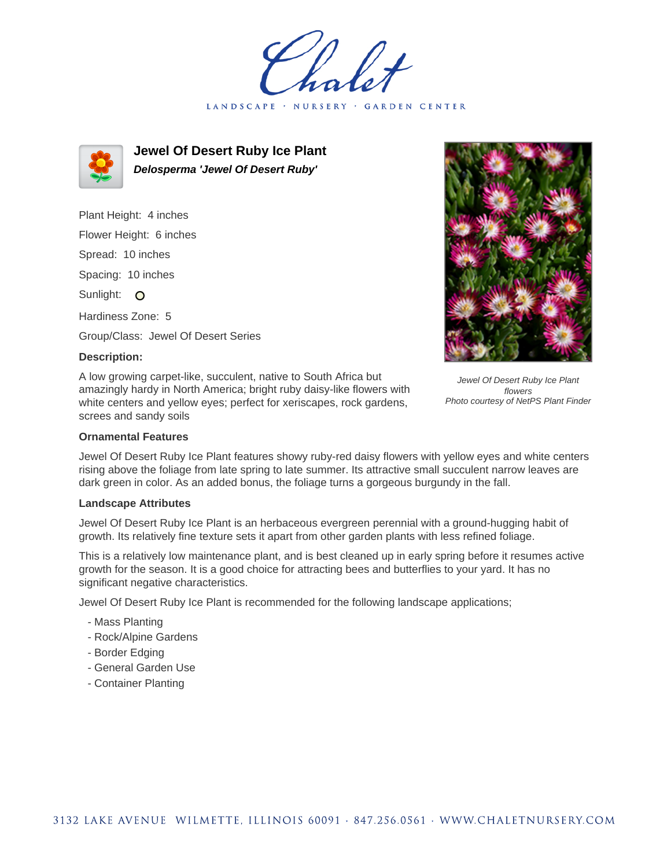holet LANDSCAPE · GARDEN CENTER



**Jewel Of Desert Ruby Ice Plant Delosperma 'Jewel Of Desert Ruby'**

Plant Height: 4 inches Flower Height: 6 inches Spread: 10 inches Spacing: 10 inches Sunlight: O Hardiness Zone: 5 Group/Class: Jewel Of Desert Series

## **Description:**

A low growing carpet-like, succulent, native to South Africa but amazingly hardy in North America; bright ruby daisy-like flowers with white centers and yellow eyes; perfect for xeriscapes, rock gardens, screes and sandy soils



Jewel Of Desert Ruby Ice Plant features showy ruby-red daisy flowers with yellow eyes and white centers rising above the foliage from late spring to late summer. Its attractive small succulent narrow leaves are dark green in color. As an added bonus, the foliage turns a gorgeous burgundy in the fall.

## **Landscape Attributes**

Jewel Of Desert Ruby Ice Plant is an herbaceous evergreen perennial with a ground-hugging habit of growth. Its relatively fine texture sets it apart from other garden plants with less refined foliage.

This is a relatively low maintenance plant, and is best cleaned up in early spring before it resumes active growth for the season. It is a good choice for attracting bees and butterflies to your yard. It has no significant negative characteristics.

Jewel Of Desert Ruby Ice Plant is recommended for the following landscape applications;

- Mass Planting
- Rock/Alpine Gardens
- Border Edging
- General Garden Use
- Container Planting



Jewel Of Desert Ruby Ice Plant flowers Photo courtesy of NetPS Plant Finder